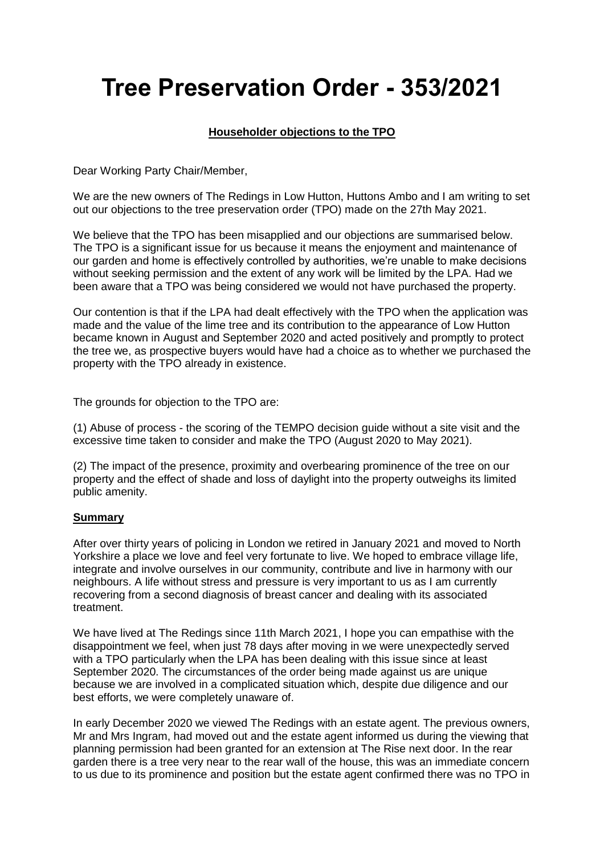# **Tree Preservation Order - 353/2021**

## **Householder objections to the TPO**

Dear Working Party Chair/Member,

We are the new owners of The Redings in Low Hutton, Huttons Ambo and I am writing to set out our objections to the tree preservation order (TPO) made on the 27th May 2021.

We believe that the TPO has been misapplied and our objections are summarised below. The TPO is a significant issue for us because it means the enjoyment and maintenance of our garden and home is effectively controlled by authorities, we're unable to make decisions without seeking permission and the extent of any work will be limited by the LPA. Had we been aware that a TPO was being considered we would not have purchased the property.

Our contention is that if the LPA had dealt effectively with the TPO when the application was made and the value of the lime tree and its contribution to the appearance of Low Hutton became known in August and September 2020 and acted positively and promptly to protect the tree we, as prospective buyers would have had a choice as to whether we purchased the property with the TPO already in existence.

The grounds for objection to the TPO are:

(1) Abuse of process - the scoring of the TEMPO decision guide without a site visit and the excessive time taken to consider and make the TPO (August 2020 to May 2021).

(2) The impact of the presence, proximity and overbearing prominence of the tree on our property and the effect of shade and loss of daylight into the property outweighs its limited public amenity.

#### **Summary**

After over thirty years of policing in London we retired in January 2021 and moved to North Yorkshire a place we love and feel very fortunate to live. We hoped to embrace village life, integrate and involve ourselves in our community, contribute and live in harmony with our neighbours. A life without stress and pressure is very important to us as I am currently recovering from a second diagnosis of breast cancer and dealing with its associated treatment.

We have lived at The Redings since 11th March 2021, I hope you can empathise with the disappointment we feel, when just 78 days after moving in we were unexpectedly served with a TPO particularly when the LPA has been dealing with this issue since at least September 2020. The circumstances of the order being made against us are unique because we are involved in a complicated situation which, despite due diligence and our best efforts, we were completely unaware of.

In early December 2020 we viewed The Redings with an estate agent. The previous owners, Mr and Mrs Ingram, had moved out and the estate agent informed us during the viewing that planning permission had been granted for an extension at The Rise next door. In the rear garden there is a tree very near to the rear wall of the house, this was an immediate concern to us due to its prominence and position but the estate agent confirmed there was no TPO in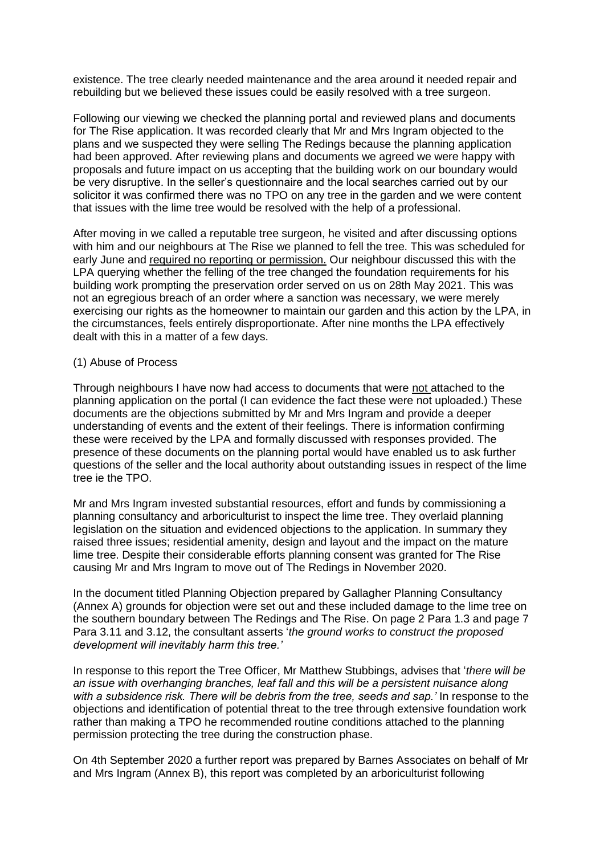existence. The tree clearly needed maintenance and the area around it needed repair and rebuilding but we believed these issues could be easily resolved with a tree surgeon.

Following our viewing we checked the planning portal and reviewed plans and documents for The Rise application. It was recorded clearly that Mr and Mrs Ingram objected to the plans and we suspected they were selling The Redings because the planning application had been approved. After reviewing plans and documents we agreed we were happy with proposals and future impact on us accepting that the building work on our boundary would be very disruptive. In the seller's questionnaire and the local searches carried out by our solicitor it was confirmed there was no TPO on any tree in the garden and we were content that issues with the lime tree would be resolved with the help of a professional.

After moving in we called a reputable tree surgeon, he visited and after discussing options with him and our neighbours at The Rise we planned to fell the tree. This was scheduled for early June and required no reporting or permission. Our neighbour discussed this with the LPA querying whether the felling of the tree changed the foundation requirements for his building work prompting the preservation order served on us on 28th May 2021. This was not an egregious breach of an order where a sanction was necessary, we were merely exercising our rights as the homeowner to maintain our garden and this action by the LPA, in the circumstances, feels entirely disproportionate. After nine months the LPA effectively dealt with this in a matter of a few days.

#### (1) Abuse of Process

Through neighbours I have now had access to documents that were not attached to the planning application on the portal (I can evidence the fact these were not uploaded.) These documents are the objections submitted by Mr and Mrs Ingram and provide a deeper understanding of events and the extent of their feelings. There is information confirming these were received by the LPA and formally discussed with responses provided. The presence of these documents on the planning portal would have enabled us to ask further questions of the seller and the local authority about outstanding issues in respect of the lime tree ie the TPO.

Mr and Mrs Ingram invested substantial resources, effort and funds by commissioning a planning consultancy and arboriculturist to inspect the lime tree. They overlaid planning legislation on the situation and evidenced objections to the application. In summary they raised three issues; residential amenity, design and layout and the impact on the mature lime tree. Despite their considerable efforts planning consent was granted for The Rise causing Mr and Mrs Ingram to move out of The Redings in November 2020.

In the document titled Planning Objection prepared by Gallagher Planning Consultancy (Annex A) grounds for objection were set out and these included damage to the lime tree on the southern boundary between The Redings and The Rise. On page 2 Para 1.3 and page 7 Para 3.11 and 3.12, the consultant asserts '*the ground works to construct the proposed development will inevitably harm this tree.'*

In response to this report the Tree Officer, Mr Matthew Stubbings, advises that '*there will be an issue with overhanging branches, leaf fall and this will be a persistent nuisance along with a subsidence risk. There will be debris from the tree, seeds and sap.'* In response to the objections and identification of potential threat to the tree through extensive foundation work rather than making a TPO he recommended routine conditions attached to the planning permission protecting the tree during the construction phase.

On 4th September 2020 a further report was prepared by Barnes Associates on behalf of Mr and Mrs Ingram (Annex B), this report was completed by an arboriculturist following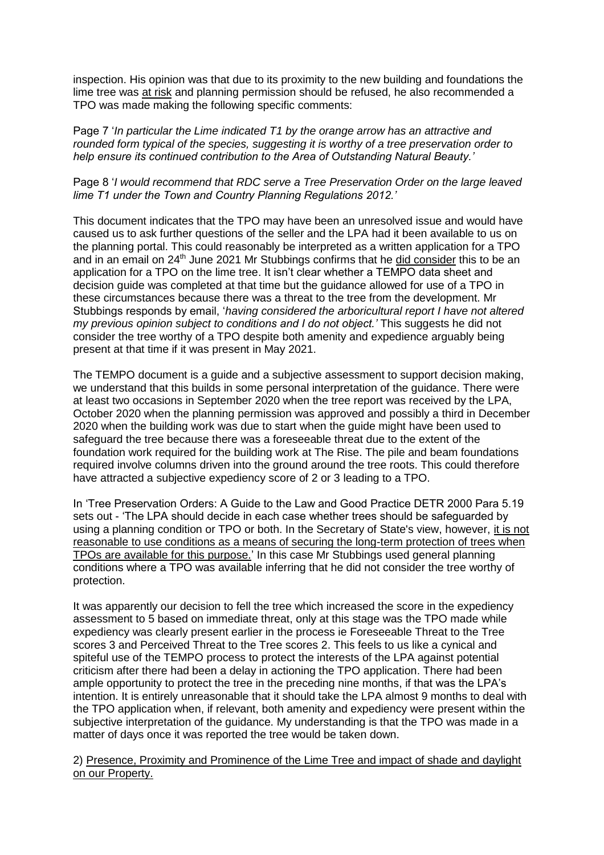inspection. His opinion was that due to its proximity to the new building and foundations the lime tree was at risk and planning permission should be refused, he also recommended a TPO was made making the following specific comments:

Page 7 '*In particular the Lime indicated T1 by the orange arrow has an attractive and rounded form typical of the species, suggesting it is worthy of a tree preservation order to help ensure its continued contribution to the Area of Outstanding Natural Beauty.'*

#### Page 8 '*I would recommend that RDC serve a Tree Preservation Order on the large leaved lime T1 under the Town and Country Planning Regulations 2012.'*

This document indicates that the TPO may have been an unresolved issue and would have caused us to ask further questions of the seller and the LPA had it been available to us on the planning portal. This could reasonably be interpreted as a written application for a TPO and in an email on  $24<sup>th</sup>$  June 2021 Mr Stubbings confirms that he did consider this to be an application for a TPO on the lime tree. It isn't clear whether a TEMPO data sheet and decision guide was completed at that time but the guidance allowed for use of a TPO in these circumstances because there was a threat to the tree from the development. Mr Stubbings responds by email, '*having considered the arboricultural report I have not altered my previous opinion subject to conditions and I do not object.'* This suggests he did not consider the tree worthy of a TPO despite both amenity and expedience arguably being present at that time if it was present in May 2021.

The TEMPO document is a guide and a subjective assessment to support decision making, we understand that this builds in some personal interpretation of the guidance. There were at least two occasions in September 2020 when the tree report was received by the LPA, October 2020 when the planning permission was approved and possibly a third in December 2020 when the building work was due to start when the guide might have been used to safeguard the tree because there was a foreseeable threat due to the extent of the foundation work required for the building work at The Rise. The pile and beam foundations required involve columns driven into the ground around the tree roots. This could therefore have attracted a subjective expediency score of 2 or 3 leading to a TPO.

In 'Tree Preservation Orders: A Guide to the Law and Good Practice DETR 2000 Para 5.19 sets out - 'The LPA should decide in each case whether trees should be safeguarded by using a planning condition or TPO or both. In the Secretary of State's view, however, it is not reasonable to use conditions as a means of securing the long-term protection of trees when TPOs are available for this purpose.' In this case Mr Stubbings used general planning conditions where a TPO was available inferring that he did not consider the tree worthy of protection.

It was apparently our decision to fell the tree which increased the score in the expediency assessment to 5 based on immediate threat, only at this stage was the TPO made while expediency was clearly present earlier in the process ie Foreseeable Threat to the Tree scores 3 and Perceived Threat to the Tree scores 2. This feels to us like a cynical and spiteful use of the TEMPO process to protect the interests of the LPA against potential criticism after there had been a delay in actioning the TPO application. There had been ample opportunity to protect the tree in the preceding nine months, if that was the LPA's intention. It is entirely unreasonable that it should take the LPA almost 9 months to deal with the TPO application when, if relevant, both amenity and expediency were present within the subjective interpretation of the guidance. My understanding is that the TPO was made in a matter of days once it was reported the tree would be taken down.

2) Presence, Proximity and Prominence of the Lime Tree and impact of shade and daylight on our Property.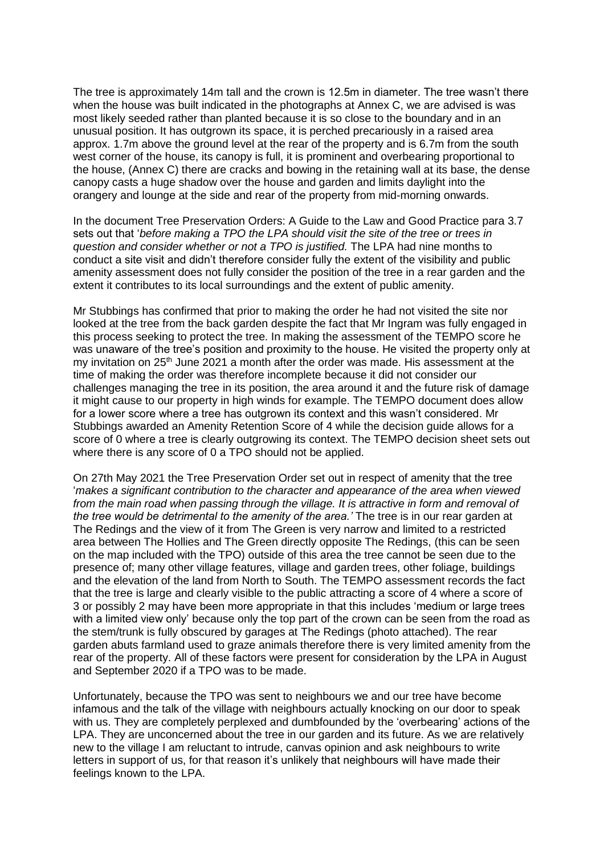The tree is approximately 14m tall and the crown is 12.5m in diameter. The tree wasn't there when the house was built indicated in the photographs at Annex C, we are advised is was most likely seeded rather than planted because it is so close to the boundary and in an unusual position. It has outgrown its space, it is perched precariously in a raised area approx. 1.7m above the ground level at the rear of the property and is 6.7m from the south west corner of the house, its canopy is full, it is prominent and overbearing proportional to the house, (Annex C) there are cracks and bowing in the retaining wall at its base, the dense canopy casts a huge shadow over the house and garden and limits daylight into the orangery and lounge at the side and rear of the property from mid-morning onwards.

In the document Tree Preservation Orders: A Guide to the Law and Good Practice para 3.7 sets out that '*before making a TPO the LPA should visit the site of the tree or trees in question and consider whether or not a TPO is justified.* The LPA had nine months to conduct a site visit and didn't therefore consider fully the extent of the visibility and public amenity assessment does not fully consider the position of the tree in a rear garden and the extent it contributes to its local surroundings and the extent of public amenity.

Mr Stubbings has confirmed that prior to making the order he had not visited the site nor looked at the tree from the back garden despite the fact that Mr Ingram was fully engaged in this process seeking to protect the tree. In making the assessment of the TEMPO score he was unaware of the tree's position and proximity to the house. He visited the property only at my invitation on 25<sup>th</sup> June 2021 a month after the order was made. His assessment at the time of making the order was therefore incomplete because it did not consider our challenges managing the tree in its position, the area around it and the future risk of damage it might cause to our property in high winds for example. The TEMPO document does allow for a lower score where a tree has outgrown its context and this wasn't considered. Mr Stubbings awarded an Amenity Retention Score of 4 while the decision guide allows for a score of 0 where a tree is clearly outgrowing its context. The TEMPO decision sheet sets out where there is any score of 0 a TPO should not be applied.

On 27th May 2021 the Tree Preservation Order set out in respect of amenity that the tree '*makes a significant contribution to the character and appearance of the area when viewed from the main road when passing through the village. It is attractive in form and removal of the tree would be detrimental to the amenity of the area.'* The tree is in our rear garden at The Redings and the view of it from The Green is very narrow and limited to a restricted area between The Hollies and The Green directly opposite The Redings, (this can be seen on the map included with the TPO) outside of this area the tree cannot be seen due to the presence of; many other village features, village and garden trees, other foliage, buildings and the elevation of the land from North to South. The TEMPO assessment records the fact that the tree is large and clearly visible to the public attracting a score of 4 where a score of 3 or possibly 2 may have been more appropriate in that this includes 'medium or large trees with a limited view only' because only the top part of the crown can be seen from the road as the stem/trunk is fully obscured by garages at The Redings (photo attached). The rear garden abuts farmland used to graze animals therefore there is very limited amenity from the rear of the property. All of these factors were present for consideration by the LPA in August and September 2020 if a TPO was to be made.

Unfortunately, because the TPO was sent to neighbours we and our tree have become infamous and the talk of the village with neighbours actually knocking on our door to speak with us. They are completely perplexed and dumbfounded by the 'overbearing' actions of the LPA. They are unconcerned about the tree in our garden and its future. As we are relatively new to the village I am reluctant to intrude, canvas opinion and ask neighbours to write letters in support of us, for that reason it's unlikely that neighbours will have made their feelings known to the LPA.